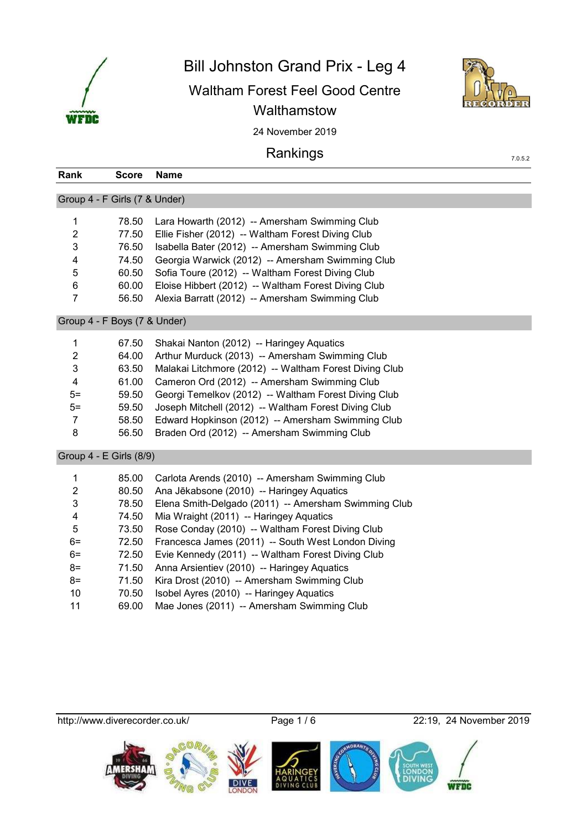

Bill Johnston Grand Prix - Leg 4

Waltham Forest Feel Good Centre Walthamstow



7.0.5.2

24 November 2019

Rankings

| Rank           | <b>Score</b>                  | <b>Name</b>                                            |
|----------------|-------------------------------|--------------------------------------------------------|
|                | Group 4 - F Girls (7 & Under) |                                                        |
| 1              | 78.50                         | Lara Howarth (2012) -- Amersham Swimming Club          |
| $\overline{c}$ | 77.50                         | Ellie Fisher (2012) -- Waltham Forest Diving Club      |
| 3              | 76.50                         | Isabella Bater (2012) -- Amersham Swimming Club        |
| 4              | 74.50                         | Georgia Warwick (2012) -- Amersham Swimming Club       |
| 5              | 60.50                         | Sofia Toure (2012) -- Waltham Forest Diving Club       |
| $\,6$          | 60.00                         | Eloise Hibbert (2012) -- Waltham Forest Diving Club    |
| $\overline{7}$ | 56.50                         | Alexia Barratt (2012) -- Amersham Swimming Club        |
|                | Group 4 - F Boys (7 & Under)  |                                                        |
| 1              | 67.50                         | Shakai Nanton (2012) -- Haringey Aquatics              |
| $\overline{2}$ | 64.00                         | Arthur Murduck (2013) -- Amersham Swimming Club        |
| 3              | 63.50                         | Malakai Litchmore (2012) -- Waltham Forest Diving Club |
| 4              | 61.00                         | Cameron Ord (2012) -- Amersham Swimming Club           |
| $5=$           | 59.50                         | Georgi Temelkov (2012) -- Waltham Forest Diving Club   |
| $5=$           | 59.50                         | Joseph Mitchell (2012) -- Waltham Forest Diving Club   |
| $\overline{7}$ | 58.50                         | Edward Hopkinson (2012) -- Amersham Swimming Club      |
| 8              | 56.50                         | Braden Ord (2012) -- Amersham Swimming Club            |
|                | Group 4 - E Girls (8/9)       |                                                        |
| 1              | 85.00                         | Carlota Arends (2010) -- Amersham Swimming Club        |
| $\overline{2}$ | 80.50                         | Ana Jēkabsone (2010) -- Haringey Aquatics              |
| 3              | 78.50                         | Elena Smith-Delgado (2011) -- Amersham Swimming Club   |
| 4              | 74.50                         | Mia Wraight (2011) -- Haringey Aquatics                |
| $\overline{5}$ | 73.50                         | Rose Conday (2010) -- Waltham Forest Diving Club       |
| $6=$           | 72.50                         | Francesca James (2011) -- South West London Diving     |
| $6=$           | 72.50                         | Evie Kennedy (2011) -- Waltham Forest Diving Club      |
| $8=$           | 71.50                         | Anna Arsientiev (2010) -- Haringey Aquatics            |
| $8=$           | 71.50                         | Kira Drost (2010) -- Amersham Swimming Club            |
| 10             | 70.50                         | Isobel Ayres (2010) -- Haringey Aquatics               |
| 11             | 69.00                         | Mae Jones (2011) -- Amersham Swimming Club             |

http://www.diverecorder.co.uk/ Page 1 / 6 22:19, 24 November 2019

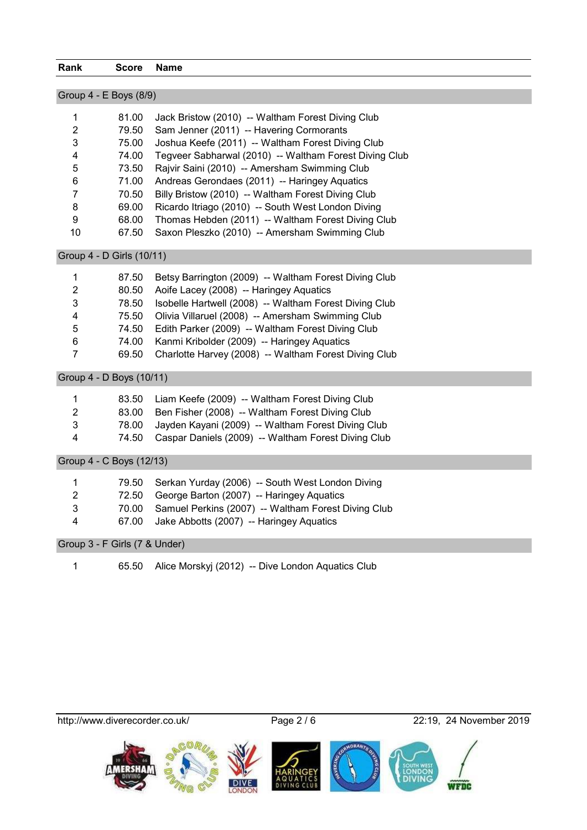| Rank                      | <b>Score</b>                  | <b>Name</b>                                                                                         |
|---------------------------|-------------------------------|-----------------------------------------------------------------------------------------------------|
|                           | Group 4 - E Boys (8/9)        |                                                                                                     |
| 1                         | 81.00                         | Jack Bristow (2010) -- Waltham Forest Diving Club                                                   |
| $\overline{2}$            | 79.50                         | Sam Jenner (2011) -- Havering Cormorants                                                            |
| 3                         | 75.00                         | Joshua Keefe (2011) -- Waltham Forest Diving Club                                                   |
| 4                         | 74.00                         | Tegveer Sabharwal (2010) -- Waltham Forest Diving Club                                              |
| 5                         | 73.50                         | Rajvir Saini (2010) -- Amersham Swimming Club                                                       |
| 6                         | 71.00                         | Andreas Gerondaes (2011) -- Haringey Aquatics                                                       |
| $\overline{7}$            | 70.50                         | Billy Bristow (2010) -- Waltham Forest Diving Club                                                  |
| 8                         | 69.00                         | Ricardo Itriago (2010) -- South West London Diving                                                  |
| 9                         | 68.00                         | Thomas Hebden (2011) -- Waltham Forest Diving Club                                                  |
| 10                        | 67.50                         | Saxon Pleszko (2010) -- Amersham Swimming Club                                                      |
|                           | Group 4 - D Girls (10/11)     |                                                                                                     |
| 1                         | 87.50                         | Betsy Barrington (2009) -- Waltham Forest Diving Club                                               |
| $\overline{c}$            | 80.50                         | Aoife Lacey (2008) -- Haringey Aquatics                                                             |
| $\ensuremath{\mathsf{3}}$ | 78.50                         | Isobelle Hartwell (2008) -- Waltham Forest Diving Club                                              |
| 4                         | 75.50                         | Olivia Villaruel (2008) -- Amersham Swimming Club                                                   |
| 5                         | 74.50                         | Edith Parker (2009) -- Waltham Forest Diving Club                                                   |
| 6                         | 74.00                         | Kanmi Kribolder (2009) -- Haringey Aquatics                                                         |
| $\overline{7}$            | 69.50                         | Charlotte Harvey (2008) -- Waltham Forest Diving Club                                               |
|                           | Group 4 - D Boys (10/11)      |                                                                                                     |
| 1                         | 83.50                         | Liam Keefe (2009) -- Waltham Forest Diving Club                                                     |
| $\overline{2}$            | 83.00                         | Ben Fisher (2008) -- Waltham Forest Diving Club                                                     |
| 3                         | 78.00                         | Jayden Kayani (2009) -- Waltham Forest Diving Club                                                  |
| $\overline{4}$            | 74.50                         | Caspar Daniels (2009) -- Waltham Forest Diving Club                                                 |
|                           | Group 4 - C Boys (12/13)      |                                                                                                     |
|                           |                               |                                                                                                     |
| 1<br>$\overline{c}$       | 79.50                         | Serkan Yurday (2006) -- South West London Diving<br>72.50 George Barton (2007) -- Haringey Aquatics |
| 3                         | 70.00                         | Samuel Perkins (2007) -- Waltham Forest Diving Club                                                 |
| 4                         | 67.00                         | Jake Abbotts (2007) -- Haringey Aquatics                                                            |
|                           | Group 3 - F Girls (7 & Under) |                                                                                                     |
|                           |                               |                                                                                                     |
| 1                         | 65.50                         | Alice Morskyj (2012) -- Dive London Aquatics Club                                                   |

## http://www.diverecorder.co.uk/ Page 2 / 6 22:19, 24 November 2019

COR

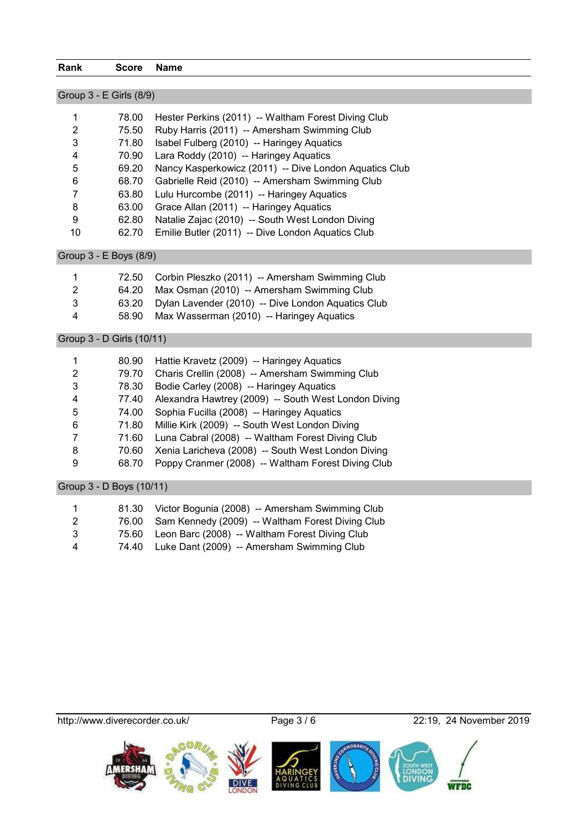| Rank | <b>Score</b> | Name |
|------|--------------|------|
|      |              |      |

| Group 3 - E Girls (8/9) |       |                                                        |  |  |
|-------------------------|-------|--------------------------------------------------------|--|--|
|                         | 78.00 | Hester Perkins (2011) -- Waltham Forest Diving Club    |  |  |
| 2                       | 75.50 | Ruby Harris (2011) -- Amersham Swimming Club           |  |  |
| 3                       | 71.80 | Isabel Fulberg (2010) -- Haringey Aquatics             |  |  |
| 4                       | 70.90 | Lara Roddy (2010) -- Haringey Aquatics                 |  |  |
| 5                       | 69.20 | Nancy Kasperkowicz (2011) -- Dive London Aquatics Club |  |  |
| 6                       | 68.70 | Gabrielle Reid (2010) -- Amersham Swimming Club        |  |  |
| 7                       | 63.80 | Lulu Hurcombe (2011) -- Haringey Aquatics              |  |  |
| 8                       | 63.00 | Grace Allan (2011) -- Haringey Aquatics                |  |  |
| 9                       | 62.80 | Natalie Zajac (2010) -- South West London Diving       |  |  |
| 10                      | 62.70 | Emilie Butler (2011) -- Dive London Aquatics Club      |  |  |

Group 3 - E Boys (8/9)

|    |       | 72.50 Corbin Pleszko (2011) -- Amersham Swimming Club    |
|----|-------|----------------------------------------------------------|
| -2 |       | 64.20 Max Osman (2010) -- Amersham Swimming Club         |
| -3 |       | 63.20 Dylan Lavender (2010) -- Dive London Aquatics Club |
| -4 | 58.90 | Max Wasserman (2010) -- Haringey Aquatics                |
|    |       |                                                          |

Group 3 - D Girls (10/11)

| 1 | 80.90 | Hattie Kravetz (2009) -- Haringey Aquatics           |
|---|-------|------------------------------------------------------|
| 2 | 79.70 | Charis Crellin (2008) -- Amersham Swimming Club      |
| 3 | 78.30 | Bodie Carley (2008) -- Haringey Aquatics             |
| 4 | 77.40 | Alexandra Hawtrey (2009) -- South West London Diving |
| 5 | 74.00 | Sophia Fucilla (2008) -- Haringey Aquatics           |
| 6 | 71.80 | Millie Kirk (2009) -- South West London Diving       |
|   | 71.60 | Luna Cabral (2008) -- Waltham Forest Diving Club     |
| 8 | 70.60 | Xenia Laricheva (2008) -- South West London Diving   |
| 9 | 68.70 | Poppy Cranmer (2008) -- Waltham Forest Diving Club   |

Group 3 - D Boys (10/11)

|                | 81.30 Victor Bogunia (2008) -- Amersham Swimming Club  |
|----------------|--------------------------------------------------------|
| -2             | 76.00 Sam Kennedy (2009) -- Waltham Forest Diving Club |
| -3             | 75.60 Leon Barc (2008) -- Waltham Forest Diving Club   |
| $\overline{a}$ | 74.40 Luke Dant (2009) -- Amersham Swimming Club       |

http://www.diverecorder.co.uk/ Page 3 / 6 22:19, 24 November 2019



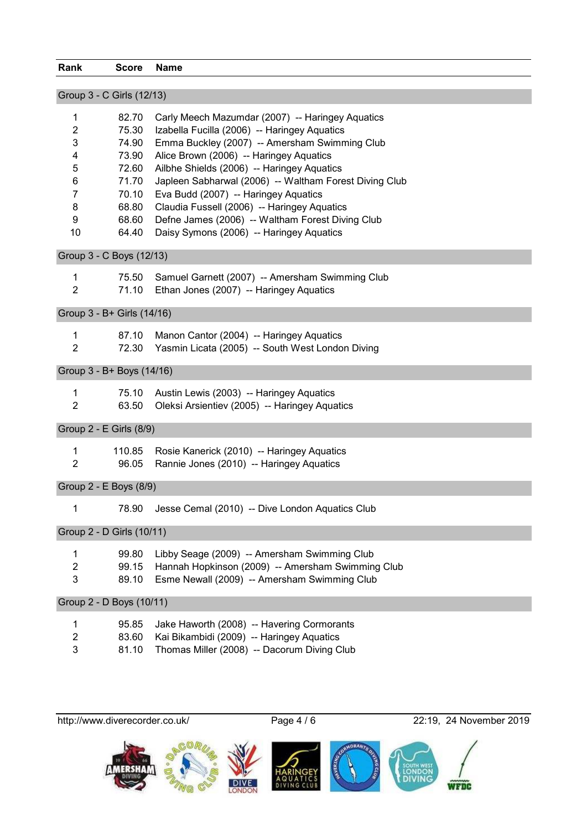| Rank                           | <b>Score</b>               | <b>Name</b>                                            |  |
|--------------------------------|----------------------------|--------------------------------------------------------|--|
|                                |                            |                                                        |  |
|                                | Group 3 - C Girls (12/13)  |                                                        |  |
| 1                              | 82.70                      | Carly Meech Mazumdar (2007) -- Haringey Aquatics       |  |
| 2                              | 75.30                      | Izabella Fucilla (2006) -- Haringey Aquatics           |  |
| 3                              | 74.90                      | Emma Buckley (2007) -- Amersham Swimming Club          |  |
| 4                              | 73.90                      | Alice Brown (2006) -- Haringey Aquatics                |  |
| 5                              | 72.60                      | Ailbhe Shields (2006) -- Haringey Aquatics             |  |
| 6                              | 71.70                      | Japleen Sabharwal (2006) -- Waltham Forest Diving Club |  |
| 7                              | 70.10                      | Eva Budd (2007) -- Haringey Aquatics                   |  |
| 8                              | 68.80                      | Claudia Fussell (2006) -- Haringey Aquatics            |  |
| 9                              | 68.60                      | Defne James (2006) -- Waltham Forest Diving Club       |  |
| 10                             | 64.40                      | Daisy Symons (2006) -- Haringey Aquatics               |  |
|                                | Group 3 - C Boys (12/13)   |                                                        |  |
| 1                              | 75.50                      | Samuel Garnett (2007) -- Amersham Swimming Club        |  |
| $\overline{2}$                 | 71.10                      | Ethan Jones (2007) -- Haringey Aquatics                |  |
|                                | Group 3 - B+ Girls (14/16) |                                                        |  |
|                                |                            |                                                        |  |
| 1                              | 87.10                      | Manon Cantor (2004) -- Haringey Aquatics               |  |
| $\overline{2}$                 | 72.30                      | Yasmin Licata (2005) -- South West London Diving       |  |
|                                | Group 3 - B+ Boys (14/16)  |                                                        |  |
| 1                              | 75.10                      | Austin Lewis (2003) -- Haringey Aquatics               |  |
| $\overline{2}$                 | 63.50                      | Oleksi Arsientiev (2005) -- Haringey Aquatics          |  |
|                                | Group 2 - E Girls (8/9)    |                                                        |  |
|                                |                            |                                                        |  |
| $\mathbf{1}$<br>$\overline{2}$ | 110.85                     | Rosie Kanerick (2010) -- Haringey Aquatics             |  |
|                                | 96.05                      | Rannie Jones (2010) -- Haringey Aquatics               |  |
|                                | Group 2 - E Boys (8/9)     |                                                        |  |
| 1                              | 78.90                      | Jesse Cemal (2010) -- Dive London Aquatics Club        |  |
| Group 2 - D Girls (10/11)      |                            |                                                        |  |
| 1                              | 99.80                      | Libby Seage (2009) -- Amersham Swimming Club           |  |
| $\overline{2}$                 | 99.15                      | Hannah Hopkinson (2009) -- Amersham Swimming Club      |  |
| 3                              | 89.10                      | Esme Newall (2009) -- Amersham Swimming Club           |  |
|                                | Group 2 - D Boys (10/11)   |                                                        |  |
| 1                              | 95.85                      | Jake Haworth (2008) -- Havering Cormorants             |  |
| $\overline{2}$                 | 83.60                      | Kai Bikambidi (2009) -- Haringey Aquatics              |  |
| 3                              | 81.10                      | Thomas Miller (2008) -- Dacorum Diving Club            |  |



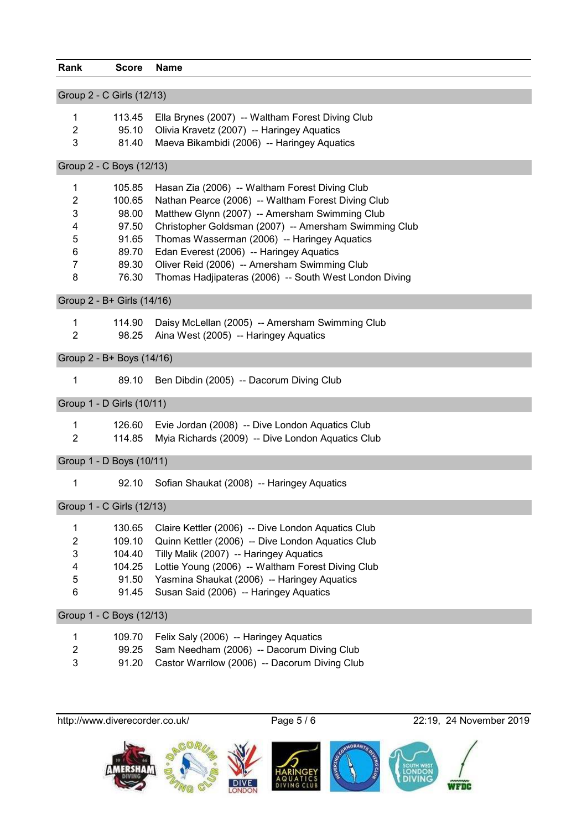| Rank                      | <b>Score</b>               | <b>Name</b>                                            |  |  |
|---------------------------|----------------------------|--------------------------------------------------------|--|--|
| Group 2 - C Girls (12/13) |                            |                                                        |  |  |
|                           |                            |                                                        |  |  |
| 1                         | 113.45                     | Ella Brynes (2007) -- Waltham Forest Diving Club       |  |  |
| $\overline{2}$            | 95.10                      | Olivia Kravetz (2007) -- Haringey Aquatics             |  |  |
| 3                         | 81.40                      | Maeva Bikambidi (2006) -- Haringey Aquatics            |  |  |
|                           | Group 2 - C Boys (12/13)   |                                                        |  |  |
| 1                         | 105.85                     | Hasan Zia (2006) -- Waltham Forest Diving Club         |  |  |
| $\overline{2}$            | 100.65                     | Nathan Pearce (2006) -- Waltham Forest Diving Club     |  |  |
| 3                         | 98.00                      | Matthew Glynn (2007) -- Amersham Swimming Club         |  |  |
| 4                         | 97.50                      | Christopher Goldsman (2007) -- Amersham Swimming Club  |  |  |
| 5                         | 91.65                      | Thomas Wasserman (2006) -- Haringey Aquatics           |  |  |
| 6                         | 89.70                      | Edan Everest (2006) -- Haringey Aquatics               |  |  |
| $\overline{7}$            | 89.30                      | Oliver Reid (2006) -- Amersham Swimming Club           |  |  |
| 8                         | 76.30                      | Thomas Hadjipateras (2006) -- South West London Diving |  |  |
|                           | Group 2 - B+ Girls (14/16) |                                                        |  |  |
| 1                         | 114.90                     | Daisy McLellan (2005) -- Amersham Swimming Club        |  |  |
| $\overline{2}$            | 98.25                      | Aina West (2005) -- Haringey Aquatics                  |  |  |
|                           |                            |                                                        |  |  |
|                           | Group 2 - B+ Boys (14/16)  |                                                        |  |  |
| 1                         | 89.10                      | Ben Dibdin (2005) -- Dacorum Diving Club               |  |  |
|                           | Group 1 - D Girls (10/11)  |                                                        |  |  |
| 1                         | 126.60                     | Evie Jordan (2008) -- Dive London Aquatics Club        |  |  |
| $\overline{2}$            | 114.85                     | Myia Richards (2009) -- Dive London Aquatics Club      |  |  |
|                           |                            |                                                        |  |  |
| Group 1 - D Boys (10/11)  |                            |                                                        |  |  |
| 1                         | 92.10                      | Sofian Shaukat (2008) -- Haringey Aquatics             |  |  |
|                           | Group 1 - C Girls (12/13)  |                                                        |  |  |
| 1                         | 130.65                     | Claire Kettler (2006) -- Dive London Aquatics Club     |  |  |
| 2                         | 109.10                     | Quinn Kettler (2006) -- Dive London Aquatics Club      |  |  |
| 3                         | 104.40                     | Tilly Malik (2007) -- Haringey Aquatics                |  |  |
| 4                         | 104.25                     | Lottie Young (2006) -- Waltham Forest Diving Club      |  |  |
| 5                         | 91.50                      | Yasmina Shaukat (2006) -- Haringey Aquatics            |  |  |
| 6                         | 91.45                      | Susan Said (2006) -- Haringey Aquatics                 |  |  |
|                           | Group 1 - C Boys (12/13)   |                                                        |  |  |
|                           |                            |                                                        |  |  |
| 1                         | 109.70                     | Felix Saly (2006) -- Haringey Aquatics                 |  |  |
| C                         | <b>QQ 25</b>               | Sam Needbam (2006) Dacorum Diving Club                 |  |  |

 99.25 Sam Needham (2006) -- Dacorum Diving Club 91.20 Castor Warrilow (2006) -- Dacorum Diving Club

http://www.diverecorder.co.uk/ Page 5 / 6 22:19, 24 November 2019